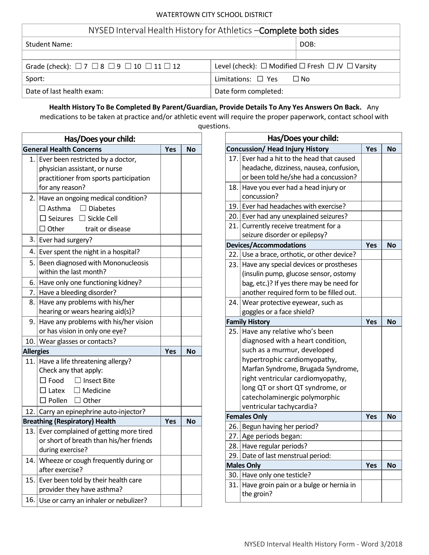| NYSED Interval Health History for Athletics - Complete both sides       |                                                                      |  |  |  |
|-------------------------------------------------------------------------|----------------------------------------------------------------------|--|--|--|
| <b>Student Name:</b>                                                    | DOB:                                                                 |  |  |  |
|                                                                         |                                                                      |  |  |  |
| Grade (check): $\Box$ 7 $\Box$ 8 $\Box$ 9 $\Box$ 10 $\Box$ 11 $\Box$ 12 | Level (check): $\Box$ Modified $\Box$ Fresh $\Box$ JV $\Box$ Varsity |  |  |  |
| Sport:                                                                  | Limitations: $\square$ Yes $\square$ No                              |  |  |  |
| Date of last health exam:                                               | Date form completed:                                                 |  |  |  |

**Health History To Be Completed By Parent/Guardian, Provide Details To Any Yes Answers On Back.** Any medications to be taken at practice and/or athletic event will require the proper paperwork, contact school with

questions.

|                                                           | Has/Does your child:                    |            |           |  |  |  |  |
|-----------------------------------------------------------|-----------------------------------------|------------|-----------|--|--|--|--|
|                                                           | <b>General Health Concerns</b>          | <b>Yes</b> | <b>No</b> |  |  |  |  |
| 1.1                                                       | Ever been restricted by a doctor,       |            |           |  |  |  |  |
|                                                           | physician assistant, or nurse           |            |           |  |  |  |  |
|                                                           | practitioner from sports participation  |            |           |  |  |  |  |
|                                                           | for any reason?                         |            |           |  |  |  |  |
|                                                           | 2. Have an ongoing medical condition?   |            |           |  |  |  |  |
|                                                           | $\Box$ Asthma<br>$\Box$ Diabetes        |            |           |  |  |  |  |
|                                                           | $\Box$ Seizures $\Box$ Sickle Cell      |            |           |  |  |  |  |
|                                                           | trait or disease<br>$\Box$ Other        |            |           |  |  |  |  |
|                                                           | 3. Ever had surgery?                    |            |           |  |  |  |  |
|                                                           | 4. Ever spent the night in a hospital?  |            |           |  |  |  |  |
|                                                           | 5. Been diagnosed with Mononucleosis    |            |           |  |  |  |  |
|                                                           | within the last month?                  |            |           |  |  |  |  |
|                                                           | 6. Have only one functioning kidney?    |            |           |  |  |  |  |
|                                                           | 7. Have a bleeding disorder?            |            |           |  |  |  |  |
|                                                           | 8. Have any problems with his/her       |            |           |  |  |  |  |
|                                                           | hearing or wears hearing aid(s)?        |            |           |  |  |  |  |
| 9.                                                        | Have any problems with his/her vision   |            |           |  |  |  |  |
|                                                           | or has vision in only one eye?          |            |           |  |  |  |  |
|                                                           | 10.<br>Wear glasses or contacts?        |            |           |  |  |  |  |
| <b>Allergies</b>                                          |                                         | Yes        | <b>No</b> |  |  |  |  |
|                                                           | 11. Have a life threatening allergy?    |            |           |  |  |  |  |
|                                                           | Check any that apply:                   |            |           |  |  |  |  |
|                                                           | $\Box$ Insect Bite<br>$\Box$ Food       |            |           |  |  |  |  |
|                                                           | $\Box$ Medicine<br>$\square$ Latex      |            |           |  |  |  |  |
|                                                           | $\Box$ Pollen $\Box$ Other              |            |           |  |  |  |  |
|                                                           | 12. Carry an epinephrine auto-injector? |            |           |  |  |  |  |
| <b>Breathing (Respiratory) Health</b><br>Yes<br><b>No</b> |                                         |            |           |  |  |  |  |
| 13.                                                       | Ever complained of getting more tired   |            |           |  |  |  |  |
|                                                           | or short of breath than his/her friends |            |           |  |  |  |  |
|                                                           | during exercise?                        |            |           |  |  |  |  |
| 14.                                                       | Wheeze or cough frequently during or    |            |           |  |  |  |  |
|                                                           | after exercise?                         |            |           |  |  |  |  |
| 15.                                                       | Ever been told by their health care     |            |           |  |  |  |  |
|                                                           | provider they have asthma?              |            |           |  |  |  |  |
| 16.                                                       | Use or carry an inhaler or nebulizer?   |            |           |  |  |  |  |

| Has/Does your child: |                                                       |            |           |  |  |
|----------------------|-------------------------------------------------------|------------|-----------|--|--|
|                      | <b>Concussion/ Head Injury History</b>                | <b>Yes</b> | <b>No</b> |  |  |
| 17.1                 | Ever had a hit to the head that caused                |            |           |  |  |
|                      | headache, dizziness, nausea, confusion,               |            |           |  |  |
|                      | or been told he/she had a concussion?                 |            |           |  |  |
| 18.                  | Have you ever had a head injury or                    |            |           |  |  |
|                      | concussion?                                           |            |           |  |  |
| 19.                  | Ever had headaches with exercise?                     |            |           |  |  |
|                      | 20. Ever had any unexplained seizures?                |            |           |  |  |
| 21.1                 | Currently receive treatment for a                     |            |           |  |  |
|                      | seizure disorder or epilepsy?                         |            |           |  |  |
|                      | <b>Devices/Accommodations</b>                         | <b>Yes</b> | <b>No</b> |  |  |
| 22.                  | Use a brace, orthotic, or other device?               |            |           |  |  |
| 23.1                 | Have any special devices or prostheses                |            |           |  |  |
|                      | (insulin pump, glucose sensor, ostomy                 |            |           |  |  |
|                      | bag, etc.)? If yes there may be need for              |            |           |  |  |
|                      | another required form to be filled out.               |            |           |  |  |
| 24.1                 | Wear protective eyewear, such as                      |            |           |  |  |
|                      | goggles or a face shield?                             |            |           |  |  |
|                      | <b>Family History</b>                                 | <b>Yes</b> | <b>No</b> |  |  |
| 25.                  | Have any relative who's been                          |            |           |  |  |
|                      | diagnosed with a heart condition,                     |            |           |  |  |
|                      | such as a murmur, developed                           |            |           |  |  |
|                      | hypertrophic cardiomyopathy,                          |            |           |  |  |
|                      | Marfan Syndrome, Brugada Syndrome,                    |            |           |  |  |
|                      | right ventricular cardiomyopathy,                     |            |           |  |  |
|                      | long QT or short QT syndrome, or                      |            |           |  |  |
|                      | catecholaminergic polymorphic                         |            |           |  |  |
|                      | ventricular tachycardia?                              |            |           |  |  |
|                      | <b>Females Only</b>                                   | Yes        | <b>No</b> |  |  |
| 26.                  | Begun having her period?                              |            |           |  |  |
|                      | 27. Age periods began:                                |            |           |  |  |
| 28.                  | Have regular periods?                                 |            |           |  |  |
| 29.1                 | Date of last menstrual period:                        |            |           |  |  |
|                      | <b>Males Only</b>                                     | Yes        | No        |  |  |
| 30.                  | Have only one testicle?                               |            |           |  |  |
| 31.                  |                                                       |            |           |  |  |
|                      | Have groin pain or a bulge or hernia in<br>the groin? |            |           |  |  |